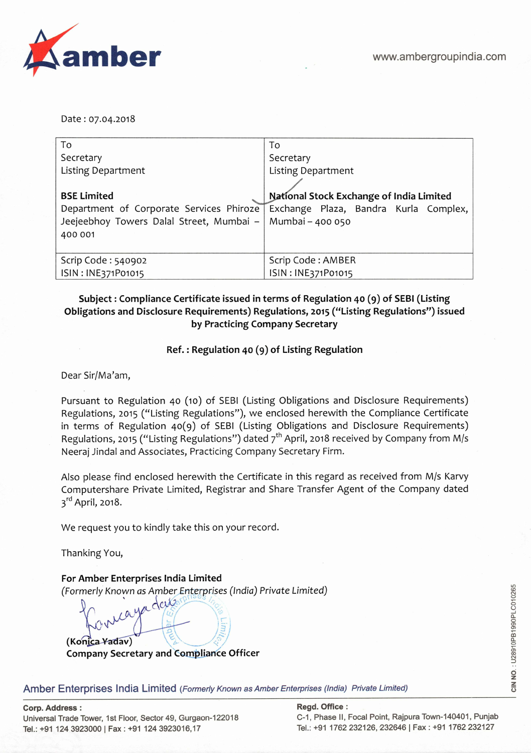Date: 07.04.2018

| To                                                          | To                                                                             |
|-------------------------------------------------------------|--------------------------------------------------------------------------------|
| Secretary                                                   | Secretary                                                                      |
| <b>Listing Department</b>                                   | <b>Listing Department</b>                                                      |
|                                                             |                                                                                |
| <b>BSE Limited</b>                                          | National Stock Exchange of India Limited                                       |
|                                                             | Department of Corporate Services Phiroze Exchange Plaza, Bandra Kurla Complex, |
| Jeejeebhoy Towers Dalal Street, Mumbai –   Mumbai – 400 050 |                                                                                |
| 400 001                                                     |                                                                                |
|                                                             |                                                                                |
| Scrip Code: 540902                                          | Scrip Code: AMBER                                                              |
| ISIN: INE371P01015                                          | ISIN: INE371P01015                                                             |

## **Subject: Compliance Certificate issued in terms of Regulation 40** () of **SEBI (Listing Obligations and Disclosure Requirements) Regulations, 2015 ("Listing Regulations") issued by Practicing Company Secretary**

### **Ref.: Regulation 40 (9) of Listing Regulation**

Dear Sir/Ma'am,

Pursuant to Regulation 40 (10) of SEBI (Listing Obligations and Disclosure Requirements) Regulations, 2015 ("Listing Regulations"), we enclosed herewith the Compliance Certificate in terms of Regulation 40(9) of SEBI (Listing Obligations and Disclosure Requirements) Regulations, 2015 ("Listing Regulations") dated  $7<sup>th</sup>$  April, 2018 received by Company from M/s Neeraj Jindal and Associates, Practicing Company Secretary Firm.

Also please find enclosed herewith the Certificate in this regard as received from M/s Karvy Computershare Private Limited, Registrar and Share Transfer Agent of the Company dated  $3<sup>rd</sup>$  April, 2018.

We request you to kindly take this on your record.

Thanking You,

**For Amber Enterprises India Limited**  (Formerly Known as Amber Enterprises (India) Private Limited)

 $\alpha$ 

 $\frac{1}{2}$ (Konica Yadav) **Company Secretary and Compliance Officer** 

Amber Enterprises India Limited (Formerly Known as Amber Enterprises (India) Private Limited)

**Corp. Address: Regd. Office:**  Universal Trade Tower, 1st Floor, Sector 49, Gurgaon-122018 C-1, Phase II, Focal Point, Rajpura Town-140401, Punjab Tel.: +91 124 3923000 | Fax: +91 124 3923016,17 Tel.: +91 1762 232126, 232646 | Fax: +91 1762 232127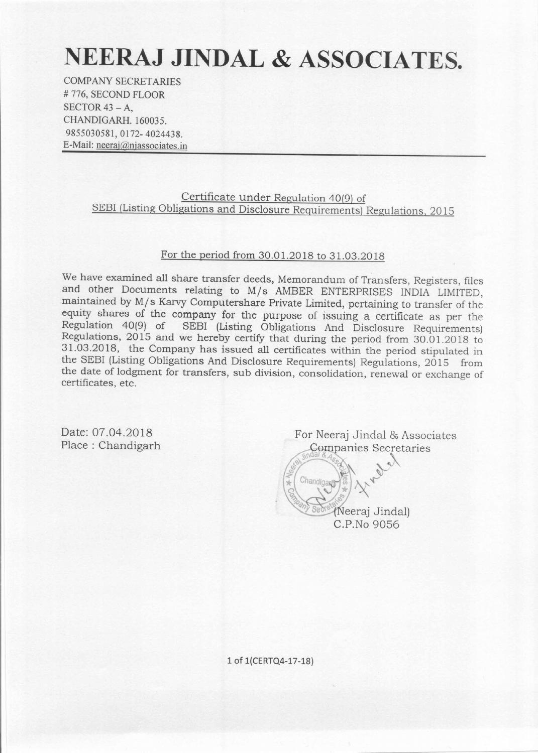# NEERAJ JINDAL & ASSOCIATES.

**COMPANY SECRETARIES** #776, SECOND FLOOR SECTOR  $43 - A$ . CHANDIGARH, 160035. 9855030581, 0172-4024438. E-Mail: neeraj@njassociates.in

> Certificate under Regulation 40(9) of SEBI (Listing Obligations and Disclosure Requirements) Regulations, 2015

#### For the period from 30.01.2018 to 31.03.2018

We have examined all share transfer deeds, Memorandum of Transfers, Registers, files and other Documents relating to M/s AMBER ENTERPRISES INDIA LIMITED, maintained by M/s Karvy Computershare Private Limited, pertaining to transfer of the equity shares of the company for the purpose of issuing a certificate as per the Regulation 40(9) of SEBI (Listing Obligations And Disclosure Requirements) Regulations, 2015 and we hereby certify that during the period from 30.01.2018 to 31.03.2018, the Company has issued all certificates within the period stipulated in the SEBI (Listing Obligations And Disclosure Requirements) Regulations, 2015 from the date of lodgment for transfers, sub division, consolidation, renewal or exchange of certificates, etc.

Date: 07.04.2018 Place: Chandigarh

For Neeraj Jindal & Associates Companies Secretaries

> (Neeraj Jindal) C.P.No 9056

Chandigar

1 of 1(CERTQ4-17-18)